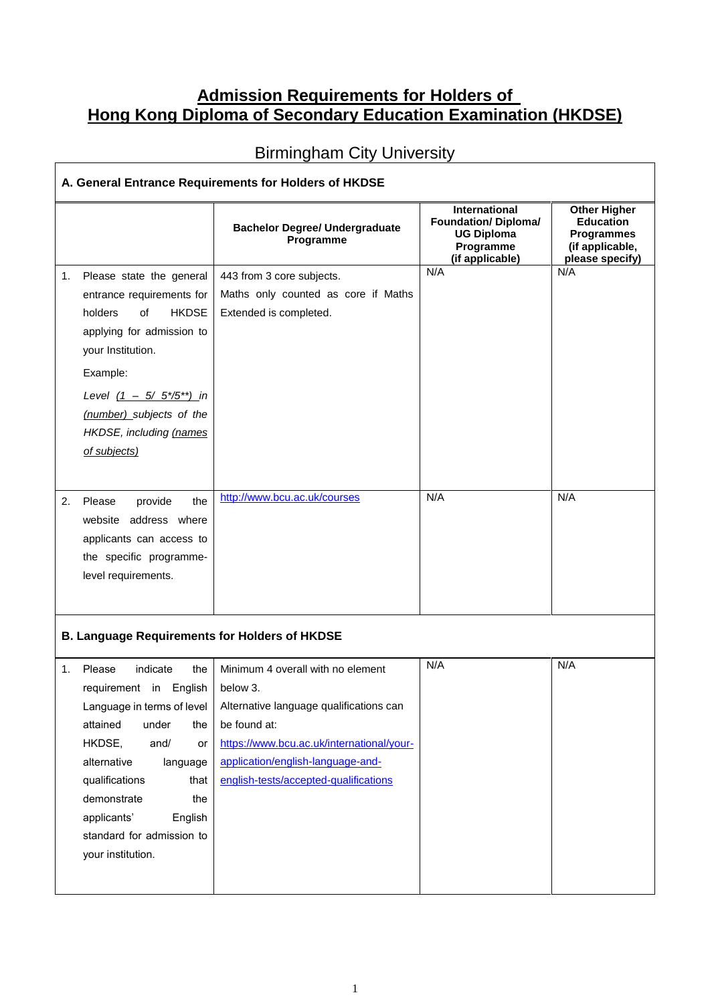## **Admission Requirements for Holders of Hong Kong Diploma of Secondary Education Examination (HKDSE)**

## Birmingham City University

|    |                                                                                                                                                                                                                                                                                              | <b>Bachelor Degree/ Undergraduate</b><br>Programme                                                                                                                                                                                  | International<br><b>Foundation/ Diploma/</b><br><b>UG Diploma</b><br>Programme<br>(if applicable) | <b>Other Higher</b><br><b>Education</b><br><b>Programmes</b><br>(if applicable,<br>please specify) |
|----|----------------------------------------------------------------------------------------------------------------------------------------------------------------------------------------------------------------------------------------------------------------------------------------------|-------------------------------------------------------------------------------------------------------------------------------------------------------------------------------------------------------------------------------------|---------------------------------------------------------------------------------------------------|----------------------------------------------------------------------------------------------------|
| 1. | Please state the general<br>entrance requirements for<br><b>HKDSE</b><br>holders<br>of<br>applying for admission to<br>your Institution.<br>Example:<br>Level $(1 - 5/ 5*/5^{**})$ in<br>(number) subjects of the<br>HKDSE, including (names<br>of subjects)                                 | 443 from 3 core subjects.<br>Maths only counted as core if Maths<br>Extended is completed.                                                                                                                                          | N/A                                                                                               | N/A                                                                                                |
| 2. | Please<br>provide<br>the<br>website address where<br>applicants can access to<br>the specific programme-<br>level requirements.                                                                                                                                                              | http://www.bcu.ac.uk/courses                                                                                                                                                                                                        | N/A                                                                                               | N/A                                                                                                |
|    | <b>B. Language Requirements for Holders of HKDSE</b>                                                                                                                                                                                                                                         |                                                                                                                                                                                                                                     |                                                                                                   |                                                                                                    |
| 1. | Please<br>indicate<br>the<br>requirement in English<br>Language in terms of level<br>attained<br>under<br>the<br>HKDSE,<br>and/<br>or<br>alternative<br>language<br>qualifications<br>that<br>demonstrate<br>the<br>applicants'<br>English<br>standard for admission to<br>your institution. | Minimum 4 overall with no element<br>below 3.<br>Alternative language qualifications can<br>be found at:<br>https://www.bcu.ac.uk/international/your-<br>application/english-language-and-<br>english-tests/accepted-qualifications | N/A                                                                                               | N/A                                                                                                |